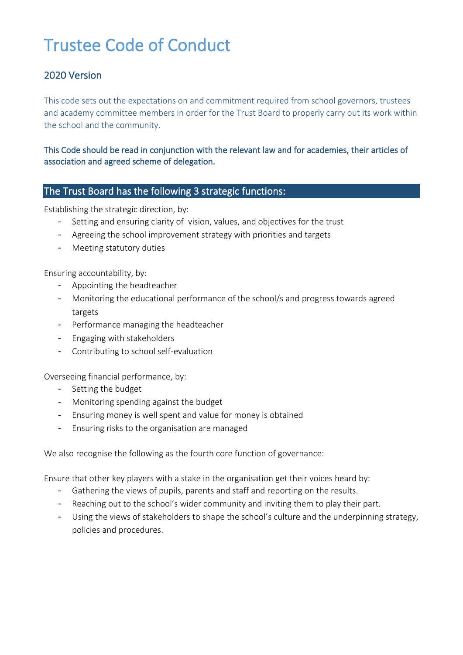# Trustee Code of Conduct

## 2020 Version

This code sets out the expectations on and commitment required from school governors, trustees and academy committee members in order for the Trust Board to properly carry out its work within the school and the community.

This Code should be read in conjunction with the relevant law and for academies, their articles of association and agreed scheme of delegation.

#### The Trust Board has the following 3 strategic functions:

Establishing the strategic direction, by:

- Setting and ensuring clarity of vision, values, and objectives for the trust
- Agreeing the school improvement strategy with priorities and targets
- Meeting statutory duties

Ensuring accountability, by:

- Appointing the headteacher
- Monitoring the educational performance of the school/s and progress towards agreed targets
- Performance managing the headteacher
- Engaging with stakeholders
- Contributing to school self-evaluation

Overseeing financial performance, by:

- Setting the budget
- Monitoring spending against the budget
- Ensuring money is well spent and value for money is obtained
- Ensuring risks to the organisation are managed

We also recognise the following as the fourth core function of governance:

Ensure that other key players with a stake in the organisation get their voices heard by:

- Gathering the views of pupils, parents and staff and reporting on the results.
- Reaching out to the school's wider community and inviting them to play their part.
- Using the views of stakeholders to shape the school's culture and the underpinning strategy, policies and procedures.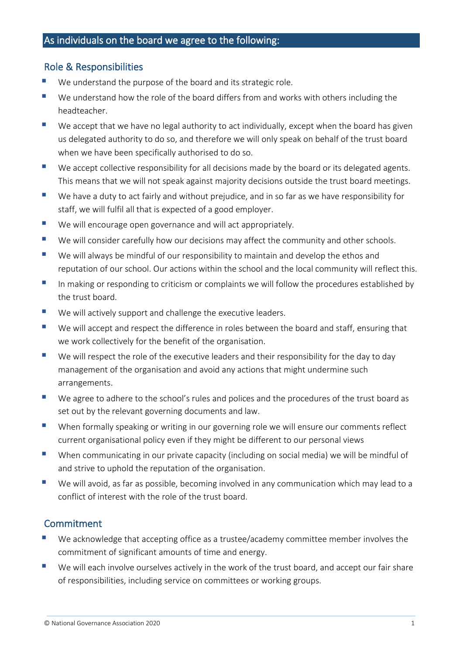#### Role & Responsibilities

- We understand the purpose of the board and its strategic role.
- We understand how the role of the board differs from and works with others including the headteacher.
- $\blacksquare$  We accept that we have no legal authority to act individually, except when the board has given us delegated authority to do so, and therefore we will only speak on behalf of the trust board when we have been specifically authorised to do so.
- We accept collective responsibility for all decisions made by the board or its delegated agents. This means that we will not speak against majority decisions outside the trust board meetings.
- We have a duty to act fairly and without prejudice, and in so far as we have responsibility for staff, we will fulfil all that is expected of a good employer.
- We will encourage open governance and will act appropriately.
- We will consider carefully how our decisions may affect the community and other schools.
- We will always be mindful of our responsibility to maintain and develop the ethos and reputation of our school. Our actions within the school and the local community will reflect this.
- In making or responding to criticism or complaints we will follow the procedures established by the trust board.
- We will actively support and challenge the executive leaders.
- We will accept and respect the difference in roles between the board and staff, ensuring that we work collectively for the benefit of the organisation.
- We will respect the role of the executive leaders and their responsibility for the day to day management of the organisation and avoid any actions that might undermine such arrangements.
- We agree to adhere to the school's rules and polices and the procedures of the trust board as set out by the relevant governing documents and law.
- When formally speaking or writing in our governing role we will ensure our comments reflect current organisational policy even if they might be different to our personal views
- When communicating in our private capacity (including on social media) we will be mindful of and strive to uphold the reputation of the organisation.
- We will avoid, as far as possible, becoming involved in any communication which may lead to a conflict of interest with the role of the trust board.

#### **Commitment**

- We acknowledge that accepting office as a trustee/academy committee member involves the commitment of significant amounts of time and energy.
- We will each involve ourselves actively in the work of the trust board, and accept our fair share of responsibilities, including service on committees or working groups.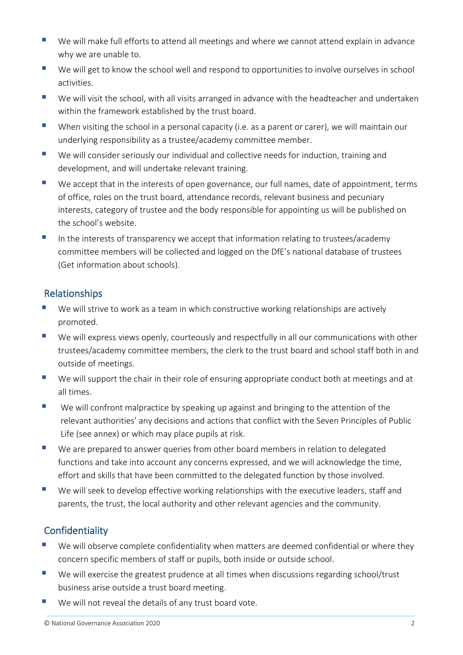- We will make full efforts to attend all meetings and where we cannot attend explain in advance why we are unable to.
- We will get to know the school well and respond to opportunities to involve ourselves in school activities.
- We will visit the school, with all visits arranged in advance with the headteacher and undertaken within the framework established by the trust board.
- When visiting the school in a personal capacity (i.e. as a parent or carer), we will maintain our underlying responsibility as a trustee/academy committee member.
- We will consider seriously our individual and collective needs for induction, training and development, and will undertake relevant training.
- We accept that in the interests of open governance, our full names, date of appointment, terms of office, roles on the trust board, attendance records, relevant business and pecuniary interests, category of trustee and the body responsible for appointing us will be published on the school's website.
- In the interests of transparency we accept that information relating to trustees/academy committee members will be collected and logged on the DfE's national database of trustees (Get information about schools).

## Relationships

- We will strive to work as a team in which constructive working relationships are actively promoted.
- We will express views openly, courteously and respectfully in all our communications with other trustees/academy committee members, the clerk to the trust board and school staff both in and outside of meetings.
- We will support the chair in their role of ensuring appropriate conduct both at meetings and at all times.
- We will confront malpractice by speaking up against and bringing to the attention of the relevant authorities' any decisions and actions that conflict with the Seven Principles of Public Life (see annex) or which may place pupils at risk.
- We are prepared to answer queries from other board members in relation to delegated functions and take into account any concerns expressed, and we will acknowledge the time, effort and skills that have been committed to the delegated function by those involved.
- We will seek to develop effective working relationships with the executive leaders, staff and parents, the trust, the local authority and other relevant agencies and the community.

## **Confidentiality**

- We will observe complete confidentiality when matters are deemed confidential or where they concern specific members of staff or pupils, both inside or outside school.
- We will exercise the greatest prudence at all times when discussions regarding school/trust business arise outside a trust board meeting.
- We will not reveal the details of any trust board vote.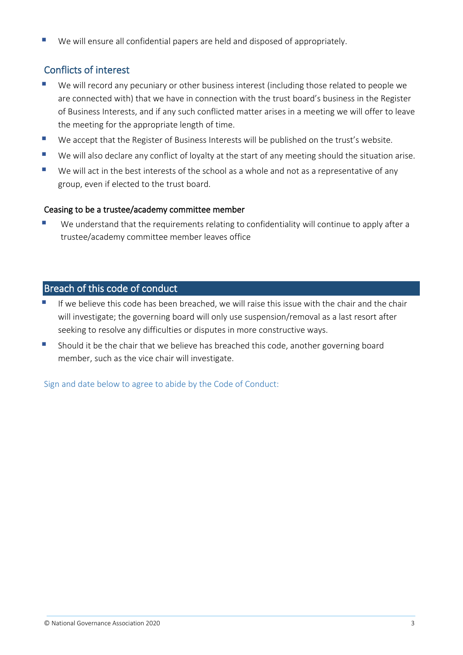We will ensure all confidential papers are held and disposed of appropriately.

# Conflicts of interest

- We will record any pecuniary or other business interest (including those related to people we are connected with) that we have in connection with the trust board's business in the Register of Business Interests, and if any such conflicted matter arises in a meeting we will offer to leave the meeting for the appropriate length of time.
- We accept that the Register of Business Interests will be published on the trust's website.
- We will also declare any conflict of loyalty at the start of any meeting should the situation arise.
- We will act in the best interests of the school as a whole and not as a representative of any group, even if elected to the trust board.

#### Ceasing to be a trustee/academy committee member

We understand that the requirements relating to confidentiality will continue to apply after a trustee/academy committee member leaves office

## Breach of this code of conduct

- If we believe this code has been breached, we will raise this issue with the chair and the chair will investigate; the governing board will only use suspension/removal as a last resort after seeking to resolve any difficulties or disputes in more constructive ways.
- Should it be the chair that we believe has breached this code, another governing board member, such as the vice chair will investigate.

Sign and date below to agree to abide by the Code of Conduct: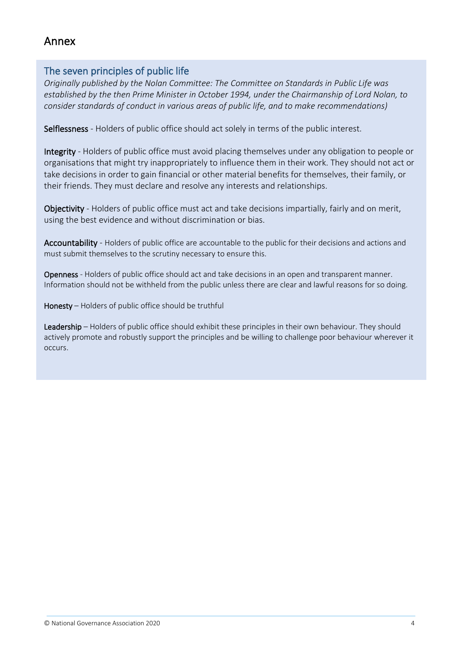# Annex

#### The seven principles of public life

*Originally published by the Nolan Committee: The Committee on Standards in Public Life was established by the then Prime Minister in October 1994, under the Chairmanship of Lord Nolan, to consider standards of conduct in various areas of public life, and to make recommendations)*

Selflessness - Holders of public office should act solely in terms of the public interest.

Integrity - Holders of public office must avoid placing themselves under any obligation to people or organisations that might try inappropriately to influence them in their work. They should not act or take decisions in order to gain financial or other material benefits for themselves, their family, or their friends. They must declare and resolve any interests and relationships.

Objectivity - Holders of public office must act and take decisions impartially, fairly and on merit, using the best evidence and without discrimination or bias.

Accountability - Holders of public office are accountable to the public for their decisions and actions and must submit themselves to the scrutiny necessary to ensure this.

Openness - Holders of public office should act and take decisions in an open and transparent manner. Information should not be withheld from the public unless there are clear and lawful reasons for so doing.

Honesty – Holders of public office should be truthful

Leadership – Holders of public office should exhibit these principles in their own behaviour. They should actively promote and robustly support the principles and be willing to challenge poor behaviour wherever it occurs.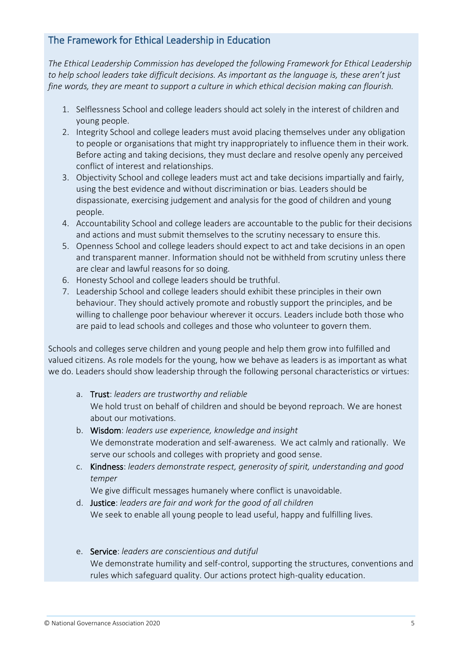## The Framework for Ethical Leadership in Education

*The Ethical Leadership Commission has developed the following Framework for Ethical Leadership to help school leaders take difficult decisions. As important as the language is, these aren't just fine words, they are meant to support a culture in which ethical decision making can flourish.* 

- 1. Selflessness School and college leaders should act solely in the interest of children and young people.
- 2. Integrity School and college leaders must avoid placing themselves under any obligation to people or organisations that might try inappropriately to influence them in their work. Before acting and taking decisions, they must declare and resolve openly any perceived conflict of interest and relationships.
- 3. Objectivity School and college leaders must act and take decisions impartially and fairly, using the best evidence and without discrimination or bias. Leaders should be dispassionate, exercising judgement and analysis for the good of children and young people.
- 4. Accountability School and college leaders are accountable to the public for their decisions and actions and must submit themselves to the scrutiny necessary to ensure this.
- 5. Openness School and college leaders should expect to act and take decisions in an open and transparent manner. Information should not be withheld from scrutiny unless there are clear and lawful reasons for so doing.
- 6. Honesty School and college leaders should be truthful.
- 7. Leadership School and college leaders should exhibit these principles in their own behaviour. They should actively promote and robustly support the principles, and be willing to challenge poor behaviour wherever it occurs. Leaders include both those who are paid to lead schools and colleges and those who volunteer to govern them.

Schools and colleges serve children and young people and help them grow into fulfilled and valued citizens. As role models for the young, how we behave as leaders is as important as what we do. Leaders should show leadership through the following personal characteristics or virtues:

- a. Trust: *leaders are trustworthy and reliable*  We hold trust on behalf of children and should be beyond reproach. We are honest about our motivations.
- b. Wisdom: *leaders use experience, knowledge and insight*  We demonstrate moderation and self-awareness. We act calmly and rationally. We serve our schools and colleges with propriety and good sense.
- c. Kindness: *leaders demonstrate respect, generosity of spirit, understanding and good temper*

We give difficult messages humanely where conflict is unavoidable.

- d. Justice: *leaders are fair and work for the good of all children*  We seek to enable all young people to lead useful, happy and fulfilling lives.
- e. Service: *leaders are conscientious and dutiful*  We demonstrate humility and self-control, supporting the structures, conventions and rules which safeguard quality. Our actions protect high-quality education.